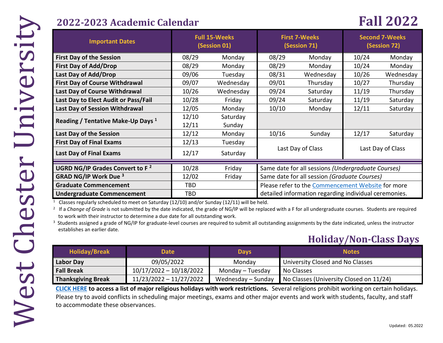## **2022-2023 Academic Calendar Fall 2022**

| <b>Important Dates</b>                                                                                                                                                                                                                                                                                                                                                                                                                                                                                                                                                                                       | <b>Full 15-Weeks</b><br>(Session 01) |                    | <b>First 7-Weeks</b><br>(Session 71)                  |           | <b>Second 7-Weeks</b><br>(Session 72) |                   |  |
|--------------------------------------------------------------------------------------------------------------------------------------------------------------------------------------------------------------------------------------------------------------------------------------------------------------------------------------------------------------------------------------------------------------------------------------------------------------------------------------------------------------------------------------------------------------------------------------------------------------|--------------------------------------|--------------------|-------------------------------------------------------|-----------|---------------------------------------|-------------------|--|
| <b>First Day of the Session</b>                                                                                                                                                                                                                                                                                                                                                                                                                                                                                                                                                                              | 08/29                                | Monday             | 08/29                                                 | Monday    | 10/24                                 | Monday            |  |
| <b>First Day of Add/Drop</b>                                                                                                                                                                                                                                                                                                                                                                                                                                                                                                                                                                                 | 08/29                                | Monday             | 08/29                                                 | Monday    | 10/24                                 | Monday            |  |
| Last Day of Add/Drop                                                                                                                                                                                                                                                                                                                                                                                                                                                                                                                                                                                         | 09/06                                | Tuesday            | 08/31                                                 | Wednesday | 10/26                                 | Wednesday         |  |
| <b>First Day of Course Withdrawal</b>                                                                                                                                                                                                                                                                                                                                                                                                                                                                                                                                                                        | 09/07                                | Wednesday          | 09/01                                                 | Thursday  | 10/27                                 | Thursday          |  |
| Last Day of Course Withdrawal                                                                                                                                                                                                                                                                                                                                                                                                                                                                                                                                                                                | 10/26                                | Wednesday          | 09/24                                                 | Saturday  | 11/19                                 | Thursday          |  |
| Last Day to Elect Audit or Pass/Fail                                                                                                                                                                                                                                                                                                                                                                                                                                                                                                                                                                         | 10/28                                | Friday             | 09/24                                                 | Saturday  | 11/19                                 | Saturday          |  |
| Last Day of Session Withdrawal                                                                                                                                                                                                                                                                                                                                                                                                                                                                                                                                                                               | 12/05                                | Monday             | 10/10                                                 | Monday    | 12/11                                 | Saturday          |  |
| Reading / Tentative Make-Up Days <sup>1</sup>                                                                                                                                                                                                                                                                                                                                                                                                                                                                                                                                                                | 12/10<br>12/11                       | Saturday<br>Sunday |                                                       |           |                                       |                   |  |
| Last Day of the Session                                                                                                                                                                                                                                                                                                                                                                                                                                                                                                                                                                                      | 12/12                                | Monday             | 10/16                                                 | Sunday    | 12/17                                 | Saturday          |  |
| <b>First Day of Final Exams</b>                                                                                                                                                                                                                                                                                                                                                                                                                                                                                                                                                                              | 12/13                                | Tuesday            |                                                       |           |                                       | Last Day of Class |  |
| Last Day of Final Exams                                                                                                                                                                                                                                                                                                                                                                                                                                                                                                                                                                                      | 12/17                                | Saturday           | Last Day of Class                                     |           |                                       |                   |  |
| UGRD NG/IP Grades Convert to F <sup>2</sup><br>10/28<br>Same date for all sessions (Undergraduate Courses)<br>Friday                                                                                                                                                                                                                                                                                                                                                                                                                                                                                         |                                      |                    |                                                       |           |                                       |                   |  |
| <b>GRAD NG/IP Work Due 3</b>                                                                                                                                                                                                                                                                                                                                                                                                                                                                                                                                                                                 | 12/02                                | Friday             | Same date for all session (Graduate Courses)          |           |                                       |                   |  |
| <b>Graduate Commencement</b>                                                                                                                                                                                                                                                                                                                                                                                                                                                                                                                                                                                 | <b>TBD</b>                           |                    | Please refer to the Commencement Website for more     |           |                                       |                   |  |
| <b>Undergraduate Commencement</b>                                                                                                                                                                                                                                                                                                                                                                                                                                                                                                                                                                            | <b>TBD</b>                           |                    | detailed information regarding individual ceremonies. |           |                                       |                   |  |
| Classes regularly scheduled to meet on Saturday (12/10) and/or Sunday (12/11) will be held.<br><sup>2</sup> If a Change of Grade is not submitted by the date indicated, the grade of NG/IP will be replaced with a F for all undergraduate courses. Students are required<br>to work with their instructor to determine a due date for all outstanding work.<br><sup>3</sup> Students assigned a grade of NG/IP for graduate-level courses are required to submit all outstanding assignments by the date indicated, unless the instructor<br>establishes an earlier date.<br><b>Holiday/Non-Class Days</b> |                                      |                    |                                                       |           |                                       |                   |  |
| <b>The Police Lines of A</b>                                                                                                                                                                                                                                                                                                                                                                                                                                                                                                                                                                                 |                                      |                    |                                                       |           |                                       |                   |  |

# **Holiday/Non-Class Days**

| <b>Holiday/Break</b>      | <b>Date</b>             | <b>Days</b>        | <b>Notes</b>                            |
|---------------------------|-------------------------|--------------------|-----------------------------------------|
| Labor Day                 | 09/05/2022              | Monday             | University Closed and No Classes        |
| <b>Fall Break</b>         | 10/17/2022 - 10/18/2022 | Monday - Tuesday   | No Classes                              |
| <b>Thanksgiving Break</b> | 11/23/2022 - 11/27/2022 | Wednesday – Sunday | No Classes (University Closed on 11/24) |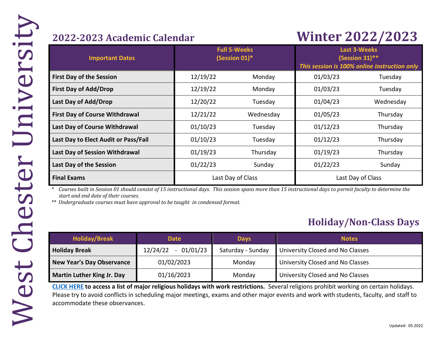# **2022-2023 Academic Calendar Winter 2022/2023**

| <b>Important Dates</b>                | <b>Full 5-Weeks</b><br>(Session 01)* |                   | <b>Last 3-Weeks</b><br>(Session 31)**<br>This session is 100% online instruction only |                   |  |
|---------------------------------------|--------------------------------------|-------------------|---------------------------------------------------------------------------------------|-------------------|--|
| <b>First Day of the Session</b>       | 12/19/22                             | Monday            | 01/03/23                                                                              | Tuesday           |  |
| <b>First Day of Add/Drop</b>          | 12/19/22                             | Monday            | 01/03/23                                                                              | Tuesday           |  |
| Last Day of Add/Drop                  | 12/20/22                             | Tuesday           | 01/04/23                                                                              | Wednesday         |  |
| <b>First Day of Course Withdrawal</b> | 12/21/22                             | Wednesday         | 01/05/23                                                                              | Thursday          |  |
| Last Day of Course Withdrawal         | 01/10/23                             | Tuesday           | 01/12/23                                                                              | Thursday          |  |
| Last Day to Elect Audit or Pass/Fail  | 01/10/23                             | Tuesday           | 01/12/23                                                                              | Thursday          |  |
| Last Day of Session Withdrawal        | 01/19/23                             | Thursday          | 01/19/23                                                                              | Thursday          |  |
| Last Day of the Session               | 01/22/23                             | Sunday            | 01/22/23                                                                              | Sunday            |  |
| <b>Final Exams</b>                    |                                      | Last Day of Class |                                                                                       | Last Day of Class |  |

*\* Courses built in Session 01 should consist of 15 instructional days. This session spans more than 15 instructional days to permit faculty to determine the start and end date of their courses.* 

*\*\* Undergraduate courses must have approval to be taught in condensed format.* 

# **Holiday/Non-Class Days**

| <b>Holiday/Break</b>             | <b>Date</b>             | <b>Days</b>       | <b>Notes</b>                     |
|----------------------------------|-------------------------|-------------------|----------------------------------|
| <b>Holiday Break</b>             | $-01/01/23$<br>12/24/22 | Saturday - Sunday | University Closed and No Classes |
| <b>New Year's Day Observance</b> | 01/02/2023              | Monday            | University Closed and No Classes |
| Martin Luther King Jr. Day       | 01/16/2023              | Monday            | University Closed and No Classes |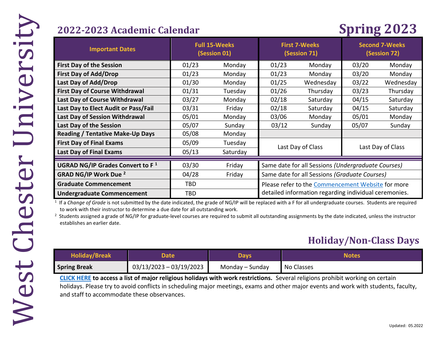# **2022-2023 Academic Calendar Spring 2023**

| <b>Important Dates</b>                       | <b>Full 15-Weeks</b><br>(Session 01) |          | <b>First 7-Weeks</b><br>(Session 71)                  |           | <b>Second 7-Weeks</b><br>(Session 72) |           |
|----------------------------------------------|--------------------------------------|----------|-------------------------------------------------------|-----------|---------------------------------------|-----------|
| <b>First Day of the Session</b>              | 01/23                                | Monday   | 01/23                                                 | Monday    | 03/20                                 | Monday    |
| <b>First Day of Add/Drop</b>                 | 01/23                                | Monday   | 01/23                                                 | Monday    | 03/20                                 | Monday    |
| Last Day of Add/Drop                         | 01/30                                | Monday   | 01/25                                                 | Wednesday | 03/22                                 | Wednesday |
| <b>First Day of Course Withdrawal</b>        | 01/31                                | Tuesday  | 01/26                                                 | Thursday  | 03/23                                 | Thursday  |
| <b>Last Day of Course Withdrawal</b>         | 03/27                                | Monday   | 02/18                                                 | Saturday  | 04/15                                 | Saturday  |
| Last Day to Elect Audit or Pass/Fail         | 03/31                                | Friday   | 02/18                                                 | Saturday  | 04/15                                 | Saturday  |
| <b>Last Day of Session Withdrawal</b>        | 05/01                                | Monday   | 03/06                                                 | Monday    | 05/01                                 | Monday    |
| Last Day of the Session                      | 05/07                                | Sunday   | 03/12                                                 | Sunday    | 05/07                                 | Sunday    |
| <b>Reading / Tentative Make-Up Days</b>      | 05/08                                | Monday   |                                                       |           |                                       |           |
| <b>First Day of Final Exams</b>              | 05/09                                | Tuesday  |                                                       |           |                                       |           |
| <b>Last Day of Final Exams</b>               | 05/13                                | Saturday | Last Day of Class<br>Last Day of Class                |           |                                       |           |
| UGRAD NG/IP Grades Convert to F <sup>1</sup> | 03/30                                | Friday   | Same date for all Sessions (Undergraduate Courses)    |           |                                       |           |
| <b>GRAD NG/IP Work Due 2</b>                 | 04/28                                | Friday   | Same date for all Sessions (Graduate Courses)         |           |                                       |           |
| <b>Graduate Commencement</b>                 | TBD                                  |          | Please refer to the Commencement Website for more     |           |                                       |           |
| <b>Undergraduate Commencement</b>            | TBD                                  |          | detailed information regarding individual ceremonies. |           |                                       |           |

<sup>1</sup> If a *Change of Grade* is not submitted by the date indicated, the grade of NG/IP will be replaced with a F for all undergraduate courses. Students are required to work with their instructor to determine a due date for all outstanding work.

<sup>2</sup> Students assigned a grade of NG/IP for graduate-level courses are required to submit all outstanding assignments by the date indicated, unless the instructor establishes an earlier date.

## **Holiday/Non-Class Days**

| <b>Holiday/Break</b> | Date                    | <b>Days</b>     | Notes      |
|----------------------|-------------------------|-----------------|------------|
| <b>Spring Break</b>  | 03/13/2023 - 03/19/2023 | Monday – Sunday | No Classes |